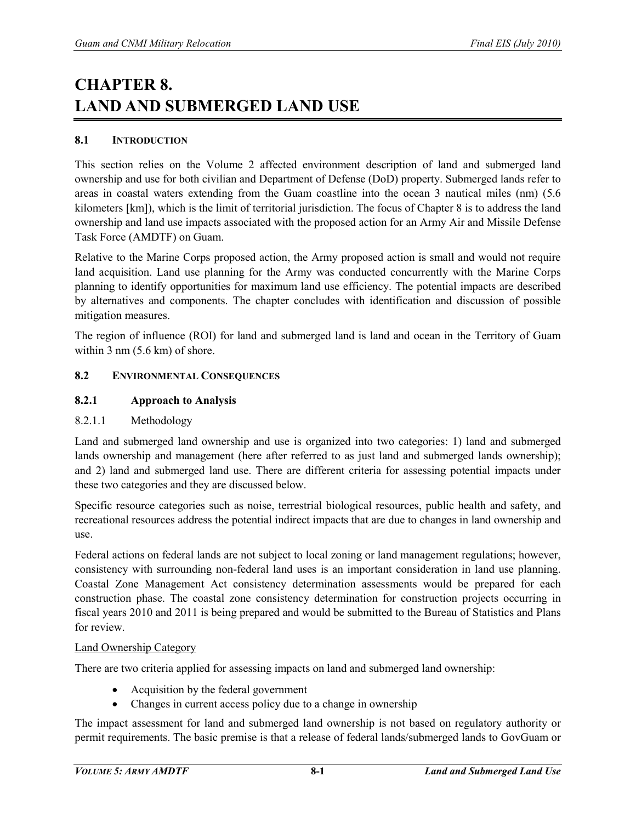# **CHAPTER 8. LAND AND SUBMERGED LAND USE**

## **8.1 INTRODUCTION**

This section relies on the Volume 2 affected environment description of land and submerged land ownership and use for both civilian and Department of Defense (DoD) property. Submerged lands refer to areas in coastal waters extending from the Guam coastline into the ocean 3 nautical miles (nm) (5.6 kilometers [km]), which is the limit of territorial jurisdiction. The focus of Chapter 8 is to address the land ownership and land use impacts associated with the proposed action for an Army Air and Missile Defense Task Force (AMDTF) on Guam.

Relative to the Marine Corps proposed action, the Army proposed action is small and would not require land acquisition. Land use planning for the Army was conducted concurrently with the Marine Corps planning to identify opportunities for maximum land use efficiency. The potential impacts are described by alternatives and components. The chapter concludes with identification and discussion of possible mitigation measures.

The region of influence (ROI) for land and submerged land is land and ocean in the Territory of Guam within 3 nm  $(5.6 \text{ km})$  of shore.

### **8.2 ENVIRONMENTAL CONSEQUENCES**

## **8.2.1 Approach to Analysis**

### 8.2.1.1 Methodology

Land and submerged land ownership and use is organized into two categories: 1) land and submerged lands ownership and management (here after referred to as just land and submerged lands ownership); and 2) land and submerged land use. There are different criteria for assessing potential impacts under these two categories and they are discussed below.

Specific resource categories such as noise, terrestrial biological resources, public health and safety, and recreational resources address the potential indirect impacts that are due to changes in land ownership and use.

Federal actions on federal lands are not subject to local zoning or land management regulations; however, consistency with surrounding non-federal land uses is an important consideration in land use planning. Coastal Zone Management Act consistency determination assessments would be prepared for each construction phase. The coastal zone consistency determination for construction projects occurring in fiscal years 2010 and 2011 is being prepared and would be submitted to the Bureau of Statistics and Plans for review.

### Land Ownership Category

There are two criteria applied for assessing impacts on land and submerged land ownership:

- Acquisition by the federal government
- Changes in current access policy due to a change in ownership

The impact assessment for land and submerged land ownership is not based on regulatory authority or permit requirements. The basic premise is that a release of federal lands/submerged lands to GovGuam or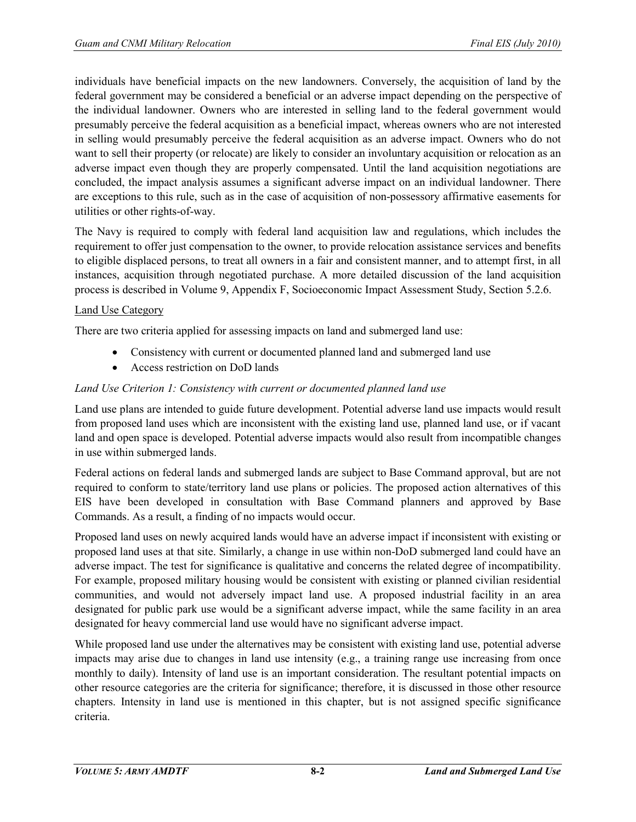individuals have beneficial impacts on the new landowners. Conversely, the acquisition of land by the federal government may be considered a beneficial or an adverse impact depending on the perspective of the individual landowner. Owners who are interested in selling land to the federal government would presumably perceive the federal acquisition as a beneficial impact, whereas owners who are not interested in selling would presumably perceive the federal acquisition as an adverse impact. Owners who do not want to sell their property (or relocate) are likely to consider an involuntary acquisition or relocation as an adverse impact even though they are properly compensated. Until the land acquisition negotiations are concluded, the impact analysis assumes a significant adverse impact on an individual landowner. There are exceptions to this rule, such as in the case of acquisition of non-possessory affirmative easements for utilities or other rights-of-way.

The Navy is required to comply with federal land acquisition law and regulations, which includes the requirement to offer just compensation to the owner, to provide relocation assistance services and benefits to eligible displaced persons, to treat all owners in a fair and consistent manner, and to attempt first, in all instances, acquisition through negotiated purchase. A more detailed discussion of the land acquisition process is described in Volume 9, Appendix F, Socioeconomic Impact Assessment Study, Section 5.2.6.

### Land Use Category

There are two criteria applied for assessing impacts on land and submerged land use:

- Consistency with current or documented planned land and submerged land use
- Access restriction on DoD lands

### *Land Use Criterion 1: Consistency with current or documented planned land use*

Land use plans are intended to guide future development. Potential adverse land use impacts would result from proposed land uses which are inconsistent with the existing land use, planned land use, or if vacant land and open space is developed. Potential adverse impacts would also result from incompatible changes in use within submerged lands.

Federal actions on federal lands and submerged lands are subject to Base Command approval, but are not required to conform to state/territory land use plans or policies. The proposed action alternatives of this EIS have been developed in consultation with Base Command planners and approved by Base Commands. As a result, a finding of no impacts would occur.

Proposed land uses on newly acquired lands would have an adverse impact if inconsistent with existing or proposed land uses at that site. Similarly, a change in use within non-DoD submerged land could have an adverse impact. The test for significance is qualitative and concerns the related degree of incompatibility. For example, proposed military housing would be consistent with existing or planned civilian residential communities, and would not adversely impact land use. A proposed industrial facility in an area designated for public park use would be a significant adverse impact, while the same facility in an area designated for heavy commercial land use would have no significant adverse impact.

While proposed land use under the alternatives may be consistent with existing land use, potential adverse impacts may arise due to changes in land use intensity (e.g., a training range use increasing from once monthly to daily). Intensity of land use is an important consideration. The resultant potential impacts on other resource categories are the criteria for significance; therefore, it is discussed in those other resource chapters. Intensity in land use is mentioned in this chapter, but is not assigned specific significance criteria.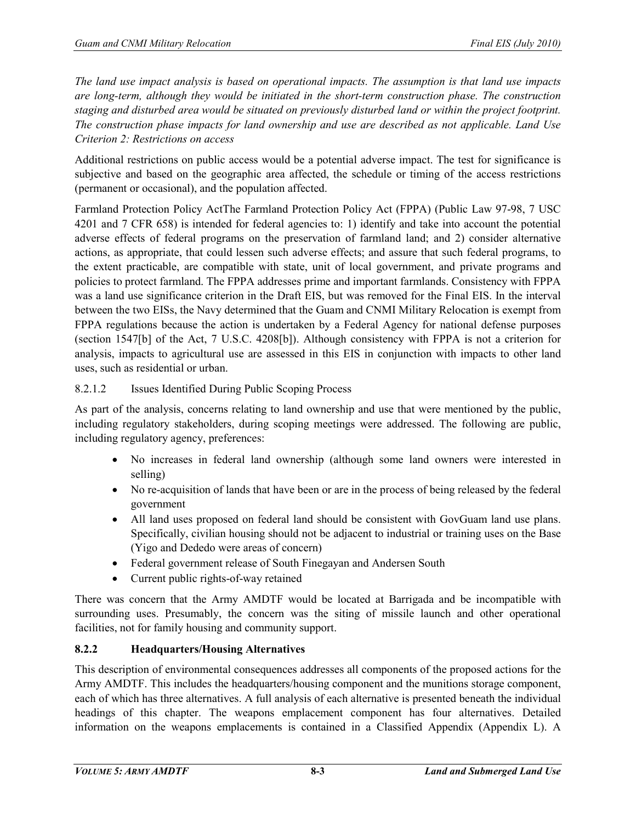*The land use impact analysis is based on operational impacts. The assumption is that land use impacts are long-term, although they would be initiated in the short-term construction phase. The construction staging and disturbed area would be situated on previously disturbed land or within the project footprint. The construction phase impacts for land ownership and use are described as not applicable. Land Use Criterion 2: Restrictions on access*

Additional restrictions on public access would be a potential adverse impact. The test for significance is subjective and based on the geographic area affected, the schedule or timing of the access restrictions (permanent or occasional), and the population affected.

Farmland Protection Policy ActThe Farmland Protection Policy Act (FPPA) (Public Law 97-98, 7 USC 4201 and 7 CFR 658) is intended for federal agencies to: 1) identify and take into account the potential adverse effects of federal programs on the preservation of farmland land; and 2) consider alternative actions, as appropriate, that could lessen such adverse effects; and assure that such federal programs, to the extent practicable, are compatible with state, unit of local government, and private programs and policies to protect farmland. The FPPA addresses prime and important farmlands. Consistency with FPPA was a land use significance criterion in the Draft EIS, but was removed for the Final EIS. In the interval between the two EISs, the Navy determined that the Guam and CNMI Military Relocation is exempt from FPPA regulations because the action is undertaken by a Federal Agency for national defense purposes (section 1547[b] of the Act, 7 U.S.C. 4208[b]). Although consistency with FPPA is not a criterion for analysis, impacts to agricultural use are assessed in this EIS in conjunction with impacts to other land uses, such as residential or urban.

# 8.2.1.2 Issues Identified During Public Scoping Process

As part of the analysis, concerns relating to land ownership and use that were mentioned by the public, including regulatory stakeholders, during scoping meetings were addressed. The following are public, including regulatory agency, preferences:

- No increases in federal land ownership (although some land owners were interested in selling)
- No re-acquisition of lands that have been or are in the process of being released by the federal government
- All land uses proposed on federal land should be consistent with GovGuam land use plans. Specifically, civilian housing should not be adjacent to industrial or training uses on the Base (Yigo and Dededo were areas of concern)
- Federal government release of South Finegayan and Andersen South
- Current public rights-of-way retained

There was concern that the Army AMDTF would be located at Barrigada and be incompatible with surrounding uses. Presumably, the concern was the siting of missile launch and other operational facilities, not for family housing and community support.

# **8.2.2 Headquarters/Housing Alternatives**

This description of environmental consequences addresses all components of the proposed actions for the Army AMDTF. This includes the headquarters/housing component and the munitions storage component, each of which has three alternatives. A full analysis of each alternative is presented beneath the individual headings of this chapter. The weapons emplacement component has four alternatives. Detailed information on the weapons emplacements is contained in a Classified Appendix (Appendix L). A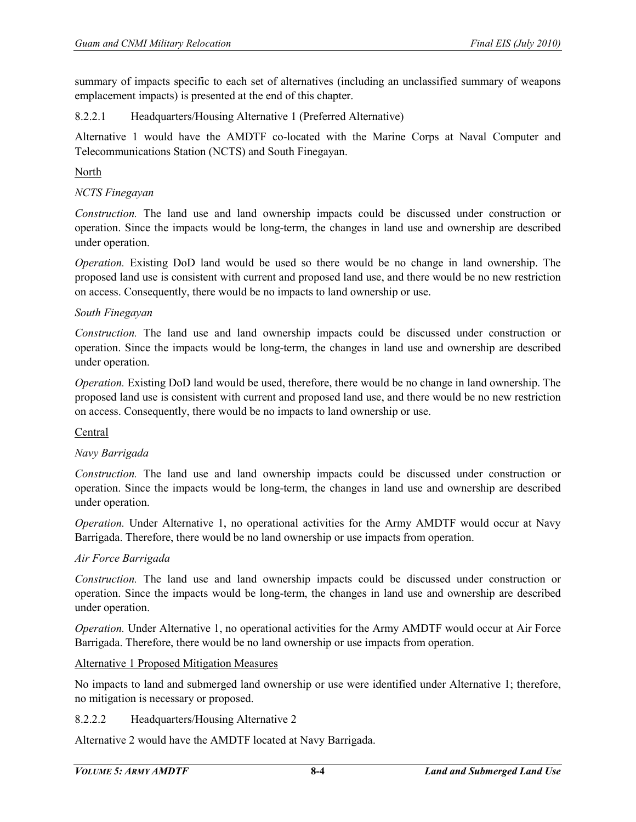summary of impacts specific to each set of alternatives (including an unclassified summary of weapons emplacement impacts) is presented at the end of this chapter.

### 8.2.2.1 Headquarters/Housing Alternative 1 (Preferred Alternative)

Alternative 1 would have the AMDTF co-located with the Marine Corps at Naval Computer and Telecommunications Station (NCTS) and South Finegayan.

#### North

### *NCTS Finegayan*

*Construction.* The land use and land ownership impacts could be discussed under construction or operation. Since the impacts would be long-term, the changes in land use and ownership are described under operation.

*Operation.* Existing DoD land would be used so there would be no change in land ownership. The proposed land use is consistent with current and proposed land use, and there would be no new restriction on access. Consequently, there would be no impacts to land ownership or use.

#### *South Finegayan*

*Construction.* The land use and land ownership impacts could be discussed under construction or operation. Since the impacts would be long-term, the changes in land use and ownership are described under operation.

*Operation.* Existing DoD land would be used, therefore, there would be no change in land ownership. The proposed land use is consistent with current and proposed land use, and there would be no new restriction on access. Consequently, there would be no impacts to land ownership or use.

### Central

### *Navy Barrigada*

*Construction.* The land use and land ownership impacts could be discussed under construction or operation. Since the impacts would be long-term, the changes in land use and ownership are described under operation.

*Operation.* Under Alternative 1, no operational activities for the Army AMDTF would occur at Navy Barrigada. Therefore, there would be no land ownership or use impacts from operation.

#### *Air Force Barrigada*

*Construction.* The land use and land ownership impacts could be discussed under construction or operation. Since the impacts would be long-term, the changes in land use and ownership are described under operation.

*Operation.* Under Alternative 1, no operational activities for the Army AMDTF would occur at Air Force Barrigada. Therefore, there would be no land ownership or use impacts from operation.

### Alternative 1 Proposed Mitigation Measures

No impacts to land and submerged land ownership or use were identified under Alternative 1; therefore, no mitigation is necessary or proposed.

#### 8.2.2.2 Headquarters/Housing Alternative 2

Alternative 2 would have the AMDTF located at Navy Barrigada.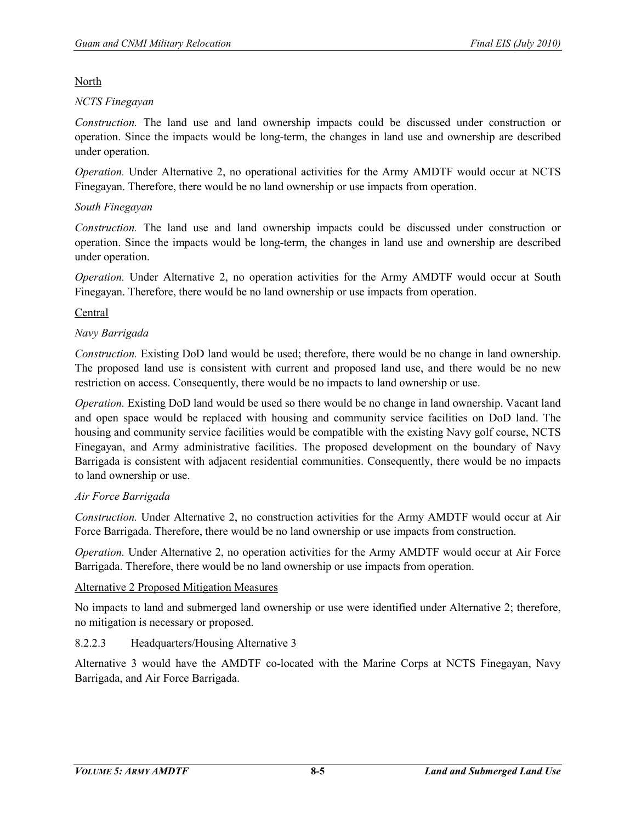North

### *NCTS Finegayan*

*Construction.* The land use and land ownership impacts could be discussed under construction or operation. Since the impacts would be long-term, the changes in land use and ownership are described under operation.

*Operation.* Under Alternative 2, no operational activities for the Army AMDTF would occur at NCTS Finegayan. Therefore, there would be no land ownership or use impacts from operation.

## *South Finegayan*

*Construction.* The land use and land ownership impacts could be discussed under construction or operation. Since the impacts would be long-term, the changes in land use and ownership are described under operation.

*Operation.* Under Alternative 2, no operation activities for the Army AMDTF would occur at South Finegayan. Therefore, there would be no land ownership or use impacts from operation.

## Central

## *Navy Barrigada*

*Construction.* Existing DoD land would be used; therefore, there would be no change in land ownership. The proposed land use is consistent with current and proposed land use, and there would be no new restriction on access. Consequently, there would be no impacts to land ownership or use.

*Operation.* Existing DoD land would be used so there would be no change in land ownership. Vacant land and open space would be replaced with housing and community service facilities on DoD land. The housing and community service facilities would be compatible with the existing Navy golf course, NCTS Finegayan, and Army administrative facilities. The proposed development on the boundary of Navy Barrigada is consistent with adjacent residential communities. Consequently, there would be no impacts to land ownership or use.

### *Air Force Barrigada*

*Construction.* Under Alternative 2, no construction activities for the Army AMDTF would occur at Air Force Barrigada. Therefore, there would be no land ownership or use impacts from construction.

*Operation.* Under Alternative 2, no operation activities for the Army AMDTF would occur at Air Force Barrigada. Therefore, there would be no land ownership or use impacts from operation.

### Alternative 2 Proposed Mitigation Measures

No impacts to land and submerged land ownership or use were identified under Alternative 2; therefore, no mitigation is necessary or proposed.

# 8.2.2.3 Headquarters/Housing Alternative 3

Alternative 3 would have the AMDTF co-located with the Marine Corps at NCTS Finegayan, Navy Barrigada, and Air Force Barrigada.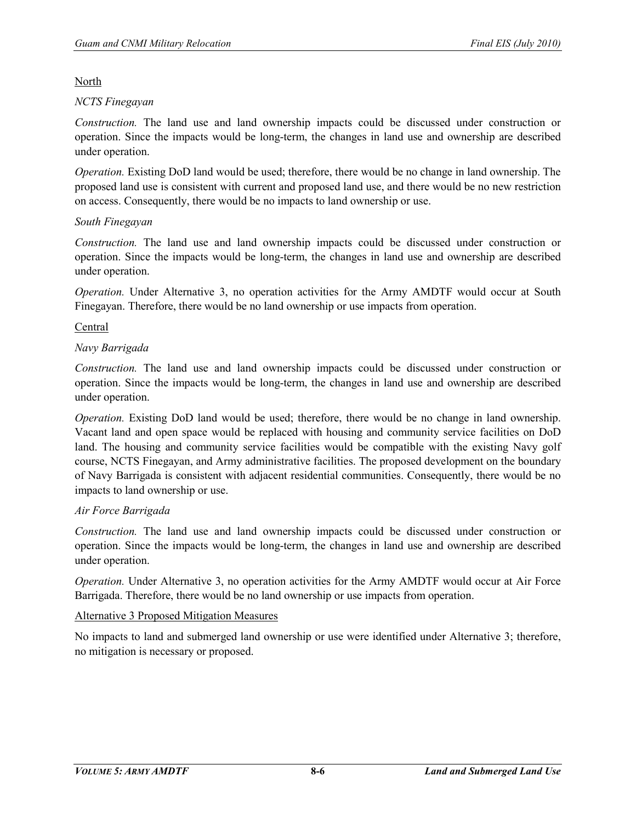North

## *NCTS Finegayan*

*Construction.* The land use and land ownership impacts could be discussed under construction or operation. Since the impacts would be long-term, the changes in land use and ownership are described under operation.

*Operation.* Existing DoD land would be used; therefore, there would be no change in land ownership. The proposed land use is consistent with current and proposed land use, and there would be no new restriction on access. Consequently, there would be no impacts to land ownership or use.

## *South Finegayan*

*Construction.* The land use and land ownership impacts could be discussed under construction or operation. Since the impacts would be long-term, the changes in land use and ownership are described under operation.

*Operation.* Under Alternative 3, no operation activities for the Army AMDTF would occur at South Finegayan. Therefore, there would be no land ownership or use impacts from operation.

## Central

## *Navy Barrigada*

*Construction.* The land use and land ownership impacts could be discussed under construction or operation. Since the impacts would be long-term, the changes in land use and ownership are described under operation.

*Operation.* Existing DoD land would be used; therefore, there would be no change in land ownership. Vacant land and open space would be replaced with housing and community service facilities on DoD land. The housing and community service facilities would be compatible with the existing Navy golf course, NCTS Finegayan, and Army administrative facilities. The proposed development on the boundary of Navy Barrigada is consistent with adjacent residential communities. Consequently, there would be no impacts to land ownership or use.

# *Air Force Barrigada*

*Construction.* The land use and land ownership impacts could be discussed under construction or operation. Since the impacts would be long-term, the changes in land use and ownership are described under operation.

*Operation.* Under Alternative 3, no operation activities for the Army AMDTF would occur at Air Force Barrigada. Therefore, there would be no land ownership or use impacts from operation.

### Alternative 3 Proposed Mitigation Measures

No impacts to land and submerged land ownership or use were identified under Alternative 3; therefore, no mitigation is necessary or proposed.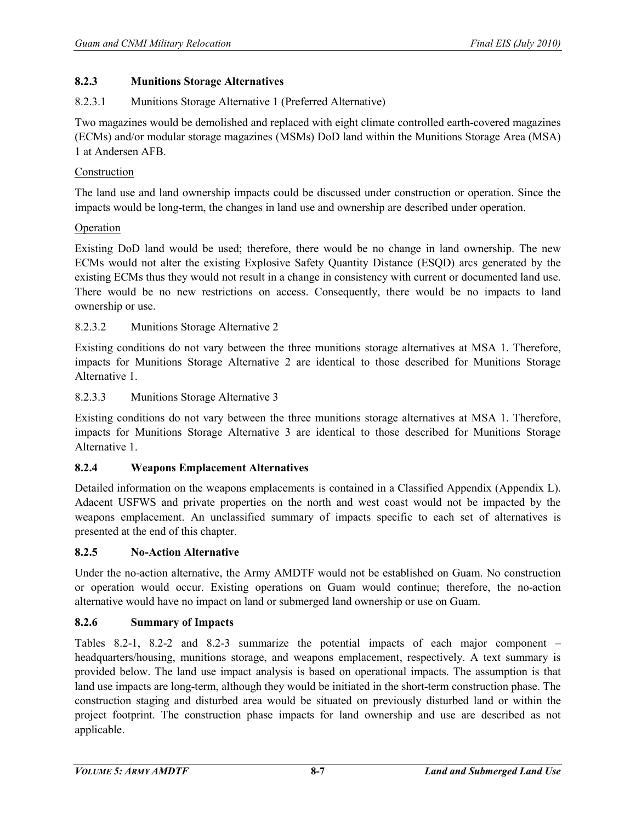## **8.2.3 Munitions Storage Alternatives**

## 8.2.3.1 Munitions Storage Alternative 1 (Preferred Alternative)

Two magazines would be demolished and replaced with eight climate controlled earth-covered magazines (ECMs) and/or modular storage magazines (MSMs) DoD land within the Munitions Storage Area (MSA) 1 at Andersen AFB.

## Construction

The land use and land ownership impacts could be discussed under construction or operation. Since the impacts would be long-term, the changes in land use and ownership are described under operation.

## **Operation**

Existing DoD land would be used; therefore, there would be no change in land ownership. The new ECMs would not alter the existing Explosive Safety Quantity Distance (ESQD) arcs generated by the existing ECMs thus they would not result in a change in consistency with current or documented land use. There would be no new restrictions on access. Consequently, there would be no impacts to land ownership or use.

## 8.2.3.2 Munitions Storage Alternative 2

Existing conditions do not vary between the three munitions storage alternatives at MSA 1. Therefore, impacts for Munitions Storage Alternative 2 are identical to those described for Munitions Storage Alternative 1.

## 8.2.3.3 Munitions Storage Alternative 3

Existing conditions do not vary between the three munitions storage alternatives at MSA 1. Therefore, impacts for Munitions Storage Alternative 3 are identical to those described for Munitions Storage Alternative 1.

# **8.2.4 Weapons Emplacement Alternatives**

Detailed information on the weapons emplacements is contained in a Classified Appendix (Appendix L). Adacent USFWS and private properties on the north and west coast would not be impacted by the weapons emplacement. An unclassified summary of impacts specific to each set of alternatives is presented at the end of this chapter.

### **8.2.5 No-Action Alternative**

Under the no-action alternative, the Army AMDTF would not be established on Guam. No construction or operation would occur. Existing operations on Guam would continue; therefore, the no-action alternative would have no impact on land or submerged land ownership or use on Guam.

# **8.2.6 Summary of Impacts**

Tables 8.2-1, 8.2-2 and 8.2-3 summarize the potential impacts of each major component – headquarters/housing, munitions storage, and weapons emplacement, respectively. A text summary is provided below. The land use impact analysis is based on operational impacts. The assumption is that land use impacts are long-term, although they would be initiated in the short-term construction phase. The construction staging and disturbed area would be situated on previously disturbed land or within the project footprint. The construction phase impacts for land ownership and use are described as not applicable.